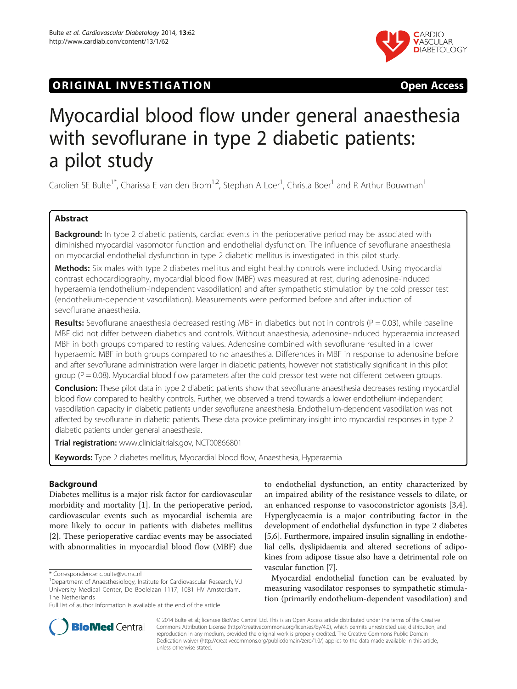# **ORIGINAL INVESTIGATION CONSIDERING OPEN ACCESS**



# Myocardial blood flow under general anaesthesia with sevoflurane in type 2 diabetic patients: a pilot study

Carolien SE Bulte<sup>1\*</sup>, Charissa E van den Brom<sup>1,2</sup>, Stephan A Loer<sup>1</sup>, Christa Boer<sup>1</sup> and R Arthur Bouwman<sup>1</sup>

# Abstract

Background: In type 2 diabetic patients, cardiac events in the perioperative period may be associated with diminished myocardial vasomotor function and endothelial dysfunction. The influence of sevoflurane anaesthesia on myocardial endothelial dysfunction in type 2 diabetic mellitus is investigated in this pilot study.

Methods: Six males with type 2 diabetes mellitus and eight healthy controls were included. Using myocardial contrast echocardiography, myocardial blood flow (MBF) was measured at rest, during adenosine-induced hyperaemia (endothelium-independent vasodilation) and after sympathetic stimulation by the cold pressor test (endothelium-dependent vasodilation). Measurements were performed before and after induction of sevoflurane anaesthesia.

**Results:** Sevoflurane anaesthesia decreased resting MBF in diabetics but not in controls ( $P = 0.03$ ), while baseline MBF did not differ between diabetics and controls. Without anaesthesia, adenosine-induced hyperaemia increased MBF in both groups compared to resting values. Adenosine combined with sevoflurane resulted in a lower hyperaemic MBF in both groups compared to no anaesthesia. Differences in MBF in response to adenosine before and after sevoflurane administration were larger in diabetic patients, however not statistically significant in this pilot group  $(P = 0.08)$ . Myocardial blood flow parameters after the cold pressor test were not different between groups.

**Conclusion:** These pilot data in type 2 diabetic patients show that sevoflurane anaesthesia decreases resting myocardial blood flow compared to healthy controls. Further, we observed a trend towards a lower endothelium-independent vasodilation capacity in diabetic patients under sevoflurane anaesthesia. Endothelium-dependent vasodilation was not affected by sevoflurane in diabetic patients. These data provide preliminary insight into myocardial responses in type 2 diabetic patients under general anaesthesia.

Trial registration: [www.clinicialtrials.gov](http://www.clinialtrials.gov/), [NCT00866801](http://www.clinicaltrials.gov/NCT00866801)

Keywords: Type 2 diabetes mellitus, Myocardial blood flow, Anaesthesia, Hyperaemia

# Background

Diabetes mellitus is a major risk factor for cardiovascular morbidity and mortality [[1\]](#page-6-0). In the perioperative period, cardiovascular events such as myocardial ischemia are more likely to occur in patients with diabetes mellitus [[2\]](#page-6-0). These perioperative cardiac events may be associated with abnormalities in myocardial blood flow (MBF) due

to endothelial dysfunction, an entity characterized by an impaired ability of the resistance vessels to dilate, or an enhanced response to vasoconstrictor agonists [[3,4](#page-6-0)]. Hyperglycaemia is a major contributing factor in the development of endothelial dysfunction in type 2 diabetes [[5,6\]](#page-6-0). Furthermore, impaired insulin signalling in endothelial cells, dyslipidaemia and altered secretions of adipokines from adipose tissue also have a detrimental role on vascular function [\[7\]](#page-6-0).

Myocardial endothelial function can be evaluated by measuring vasodilator responses to sympathetic stimulation (primarily endothelium-dependent vasodilation) and



© 2014 Bulte et al.; licensee BioMed Central Ltd. This is an Open Access article distributed under the terms of the Creative Commons Attribution License [\(http://creativecommons.org/licenses/by/4.0\)](http://creativecommons.org/licenses/by/4.0), which permits unrestricted use, distribution, and reproduction in any medium, provided the original work is properly credited. The Creative Commons Public Domain Dedication waiver [\(http://creativecommons.org/publicdomain/zero/1.0/](http://creativecommons.org/publicdomain/zero/1.0/)) applies to the data made available in this article, unless otherwise stated.

<sup>\*</sup> Correspondence: [c.bulte@vumc.nl](mailto:c.bulte@vumc.nl) <sup>1</sup>

Department of Anaesthesiology, Institute for Cardiovascular Research, VU University Medical Center, De Boelelaan 1117, 1081 HV Amsterdam, The Netherlands

Full list of author information is available at the end of the article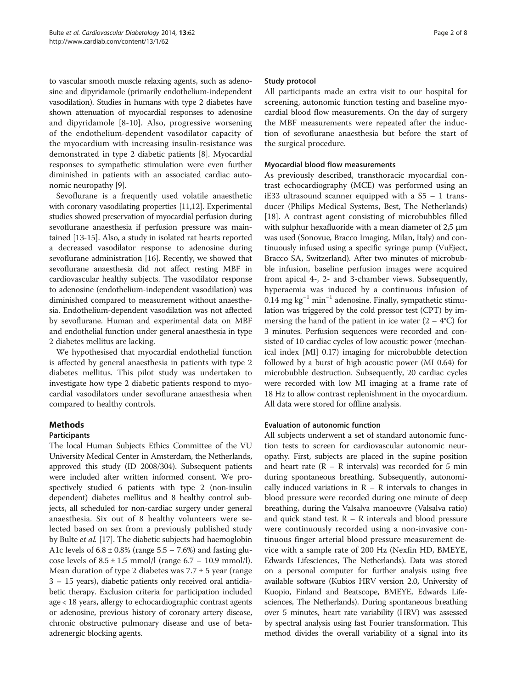to vascular smooth muscle relaxing agents, such as adenosine and dipyridamole (primarily endothelium-independent vasodilation). Studies in humans with type 2 diabetes have shown attenuation of myocardial responses to adenosine and dipyridamole [\[8](#page-6-0)-[10\]](#page-6-0). Also, progressive worsening of the endothelium-dependent vasodilator capacity of the myocardium with increasing insulin-resistance was demonstrated in type 2 diabetic patients [[8\]](#page-6-0). Myocardial responses to sympathetic stimulation were even further diminished in patients with an associated cardiac autonomic neuropathy [[9\]](#page-6-0).

Sevoflurane is a frequently used volatile anaesthetic with coronary vasodilating properties [\[11,12](#page-6-0)]. Experimental studies showed preservation of myocardial perfusion during sevoflurane anaesthesia if perfusion pressure was maintained [\[13](#page-6-0)[-15\]](#page-7-0). Also, a study in isolated rat hearts reported a decreased vasodilator response to adenosine during sevoflurane administration [\[16\]](#page-7-0). Recently, we showed that sevoflurane anaesthesia did not affect resting MBF in cardiovascular healthy subjects. The vasodilator response to adenosine (endothelium-independent vasodilation) was diminished compared to measurement without anaesthesia. Endothelium-dependent vasodilation was not affected by sevoflurane. Human and experimental data on MBF and endothelial function under general anaesthesia in type 2 diabetes mellitus are lacking.

We hypothesised that myocardial endothelial function is affected by general anaesthesia in patients with type 2 diabetes mellitus. This pilot study was undertaken to investigate how type 2 diabetic patients respond to myocardial vasodilators under sevoflurane anaesthesia when compared to healthy controls.

# Methods

# Participants

The local Human Subjects Ethics Committee of the VU University Medical Center in Amsterdam, the Netherlands, approved this study (ID 2008/304). Subsequent patients were included after written informed consent. We prospectively studied 6 patients with type 2 (non-insulin dependent) diabetes mellitus and 8 healthy control subjects, all scheduled for non-cardiac surgery under general anaesthesia. Six out of 8 healthy volunteers were selected based on sex from a previously published study by Bulte et al. [\[17](#page-7-0)]. The diabetic subjects had haemoglobin A1c levels of  $6.8 \pm 0.8\%$  (range  $5.5 - 7.6\%$ ) and fasting glucose levels of  $8.5 \pm 1.5$  mmol/l (range  $6.7 - 10.9$  mmol/l). Mean duration of type 2 diabetes was  $7.7 \pm 5$  year (range 3 – 15 years), diabetic patients only received oral antidiabetic therapy. Exclusion criteria for participation included age < 18 years, allergy to echocardiographic contrast agents or adenosine, previous history of coronary artery disease, chronic obstructive pulmonary disease and use of betaadrenergic blocking agents.

# Study protocol

All participants made an extra visit to our hospital for screening, autonomic function testing and baseline myocardial blood flow measurements. On the day of surgery the MBF measurements were repeated after the induction of sevoflurane anaesthesia but before the start of the surgical procedure.

# Myocardial blood flow measurements

As previously described, transthoracic myocardial contrast echocardiography (MCE) was performed using an iE33 ultrasound scanner equipped with a  $S5 - 1$  transducer (Philips Medical Systems, Best, The Netherlands) [[18\]](#page-7-0). A contrast agent consisting of microbubbles filled with sulphur hexafluoride with a mean diameter of 2,5 μm was used (Sonovue, Bracco Imaging, Milan, Italy) and continuously infused using a specific syringe pump (VuEject, Bracco SA, Switzerland). After two minutes of microbubble infusion, baseline perfusion images were acquired from apical 4-, 2- and 3-chamber views. Subsequently, hyperaemia was induced by a continuous infusion of 0.14 mg kg<sup>-1</sup> min<sup>-1</sup> adenosine. Finally, sympathetic stimulation was triggered by the cold pressor test (CPT) by immersing the hand of the patient in ice water  $(2 - 4^{\circ}C)$  for 3 minutes. Perfusion sequences were recorded and consisted of 10 cardiac cycles of low acoustic power (mechanical index [MI] 0.17) imaging for microbubble detection followed by a burst of high acoustic power (MI 0.64) for microbubble destruction. Subsequently, 20 cardiac cycles were recorded with low MI imaging at a frame rate of 18 Hz to allow contrast replenishment in the myocardium. All data were stored for offline analysis.

# Evaluation of autonomic function

All subjects underwent a set of standard autonomic function tests to screen for cardiovascular autonomic neuropathy. First, subjects are placed in the supine position and heart rate  $(R - R$  intervals) was recorded for 5 min during spontaneous breathing. Subsequently, autonomically induced variations in  $R - R$  intervals to changes in blood pressure were recorded during one minute of deep breathing, during the Valsalva manoeuvre (Valsalva ratio) and quick stand test.  $R - R$  intervals and blood pressure were continuously recorded using a non-invasive continuous finger arterial blood pressure measurement device with a sample rate of 200 Hz (Nexfin HD, BMEYE, Edwards Lifesciences, The Netherlands). Data was stored on a personal computer for further analysis using free available software (Kubios HRV version 2.0, University of Kuopio, Finland and Beatscope, BMEYE, Edwards Lifesciences, The Netherlands). During spontaneous breathing over 5 minutes, heart rate variability (HRV) was assessed by spectral analysis using fast Fourier transformation. This method divides the overall variability of a signal into its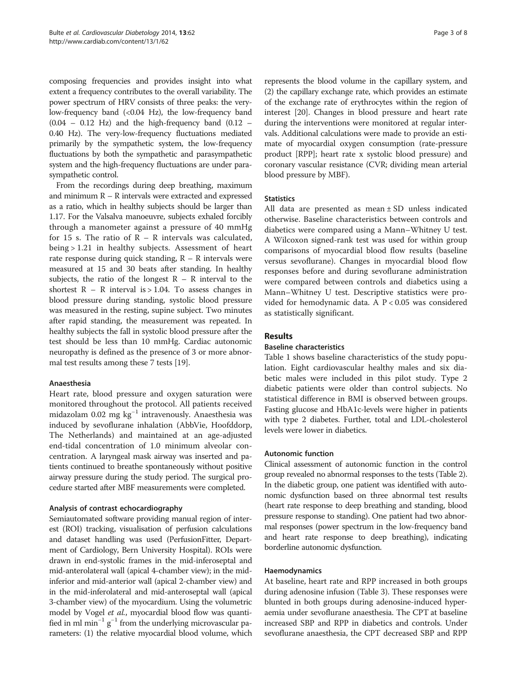composing frequencies and provides insight into what extent a frequency contributes to the overall variability. The power spectrum of HRV consists of three peaks: the verylow-frequency band (<0.04 Hz), the low-frequency band  $(0.04 - 0.12$  Hz) and the high-frequency band  $(0.12 -$ 0.40 Hz). The very-low-frequency fluctuations mediated primarily by the sympathetic system, the low-frequency fluctuations by both the sympathetic and parasympathetic system and the high-frequency fluctuations are under parasympathetic control.

From the recordings during deep breathing, maximum and minimum R – R intervals were extracted and expressed as a ratio, which in healthy subjects should be larger than 1.17. For the Valsalva manoeuvre, subjects exhaled forcibly through a manometer against a pressure of 40 mmHg for 15 s. The ratio of  $R - R$  intervals was calculated, being > 1.21 in healthy subjects. Assessment of heart rate response during quick standing,  $R - R$  intervals were measured at 15 and 30 beats after standing. In healthy subjects, the ratio of the longest  $R - R$  interval to the shortest  $R - R$  interval is > 1.04. To assess changes in blood pressure during standing, systolic blood pressure was measured in the resting, supine subject. Two minutes after rapid standing, the measurement was repeated. In healthy subjects the fall in systolic blood pressure after the test should be less than 10 mmHg. Cardiac autonomic neuropathy is defined as the presence of 3 or more abnormal test results among these 7 tests [\[19\]](#page-7-0).

#### Anaesthesia

Heart rate, blood pressure and oxygen saturation were monitored throughout the protocol. All patients received midazolam 0.02 mg kg−<sup>1</sup> intravenously. Anaesthesia was induced by sevoflurane inhalation (AbbVie, Hoofddorp, The Netherlands) and maintained at an age-adjusted end-tidal concentration of 1.0 minimum alveolar concentration. A laryngeal mask airway was inserted and patients continued to breathe spontaneously without positive airway pressure during the study period. The surgical procedure started after MBF measurements were completed.

#### Analysis of contrast echocardiography

Semiautomated software providing manual region of interest (ROI) tracking, visualisation of perfusion calculations and dataset handling was used (PerfusionFitter, Department of Cardiology, Bern University Hospital). ROIs were drawn in end-systolic frames in the mid-inferoseptal and mid-anterolateral wall (apical 4-chamber view); in the midinferior and mid-anterior wall (apical 2-chamber view) and in the mid-inferolateral and mid-anteroseptal wall (apical 3-chamber view) of the myocardium. Using the volumetric model by Vogel *et al.*, myocardial blood flow was quantified in ml min<sup>-1</sup>  $g^{-1}$  from the underlying microvascular parameters: (1) the relative myocardial blood volume, which

represents the blood volume in the capillary system, and (2) the capillary exchange rate, which provides an estimate of the exchange rate of erythrocytes within the region of interest [\[20](#page-7-0)]. Changes in blood pressure and heart rate during the interventions were monitored at regular intervals. Additional calculations were made to provide an estimate of myocardial oxygen consumption (rate-pressure product [RPP]; heart rate x systolic blood pressure) and coronary vascular resistance (CVR; dividing mean arterial blood pressure by MBF).

#### **Statistics**

All data are presented as mean ± SD unless indicated otherwise. Baseline characteristics between controls and diabetics were compared using a Mann–Whitney U test. A Wilcoxon signed-rank test was used for within group comparisons of myocardial blood flow results (baseline versus sevoflurane). Changes in myocardial blood flow responses before and during sevoflurane administration were compared between controls and diabetics using a Mann–Whitney U test. Descriptive statistics were provided for hemodynamic data. A P < 0.05 was considered as statistically significant.

# Results

# Baseline characteristics

Table [1](#page-3-0) shows baseline characteristics of the study population. Eight cardiovascular healthy males and six diabetic males were included in this pilot study. Type 2 diabetic patients were older than control subjects. No statistical difference in BMI is observed between groups. Fasting glucose and HbA1c-levels were higher in patients with type 2 diabetes. Further, total and LDL-cholesterol levels were lower in diabetics.

#### Autonomic function

Clinical assessment of autonomic function in the control group revealed no abnormal responses to the tests (Table [2](#page-3-0)). In the diabetic group, one patient was identified with autonomic dysfunction based on three abnormal test results (heart rate response to deep breathing and standing, blood pressure response to standing). One patient had two abnormal responses (power spectrum in the low-frequency band and heart rate response to deep breathing), indicating borderline autonomic dysfunction.

#### Haemodynamics

At baseline, heart rate and RPP increased in both groups during adenosine infusion (Table [3\)](#page-3-0). These responses were blunted in both groups during adenosine-induced hyperaemia under sevoflurane anaesthesia. The CPT at baseline increased SBP and RPP in diabetics and controls. Under sevoflurane anaesthesia, the CPT decreased SBP and RPP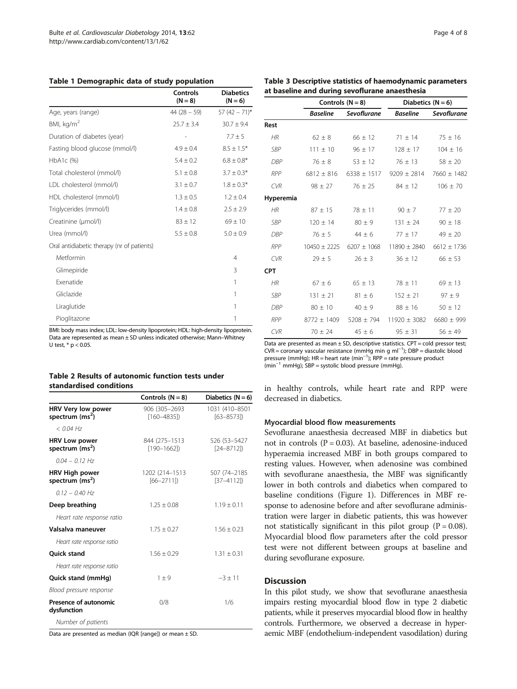<span id="page-3-0"></span>

|  |  |  |  |  |  |  |  | Table 1 Demographic data of study population |  |
|--|--|--|--|--|--|--|--|----------------------------------------------|--|
|--|--|--|--|--|--|--|--|----------------------------------------------|--|

|                                            | <b>Controls</b><br>$(N = 8)$ | <b>Diabetics</b><br>$(N = 6)$ |
|--------------------------------------------|------------------------------|-------------------------------|
| Age, years (range)                         | $44(28 - 59)$                | $57(42 - 71)^{*}$             |
| BMI, kg/m <sup>2</sup>                     | $25.7 \pm 3.4$               | $30.7 \pm 9.4$                |
| Duration of diabetes (year)                |                              | $7.7 \pm 5$                   |
| Fasting blood glucose (mmol/l)             | $4.9 \pm 0.4$                | $8.5 \pm 1.5*$                |
| HbA1c (%)                                  | $5.4 \pm 0.2$                | $6.8 \pm 0.8*$                |
| Total cholesterol (mmol/l)                 | $5.1 \pm 0.8$                | $3.7 \pm 0.3*$                |
| LDL cholesterol (mmol/l)                   | $3.1 \pm 0.7$                | $1.8 \pm 0.3*$                |
| HDL cholesterol (mmol/l)                   | $1.3 \pm 0.5$                | $1.2 \pm 0.4$                 |
| Triglycerides (mmol/l)                     | $1.4 \pm 0.8$                | $2.5 \pm 2.9$                 |
| Creatinine (µmol/l)                        | $83 \pm 12$                  | $69 \pm 10$                   |
| Urea (mmol/l)                              | $5.5 \pm 0.8$                | $5.0 \pm 0.9$                 |
| Oral antidiabetic therapy (nr of patients) |                              |                               |
| Metformin                                  |                              | 4                             |
| Glimepiride                                |                              | 3                             |
| Exenatide                                  |                              | 1                             |
| Gliclazide                                 |                              | 1                             |
| Liraglutide                                |                              | 1                             |
| Pioglitazone                               |                              | 1                             |

BMI: body mass index; LDL: low-density lipoprotein; HDL: high-density lipoprotein. Data are represented as mean  $\pm$  SD unless indicated otherwise; Mann–Whitney U test,  $*$  p < 0.05.

#### Table 2 Results of autonomic function tests under standardised conditions

|                                            | Controls $(N = 8)$               | Diabetics ( $N = 6$ )           |
|--------------------------------------------|----------------------------------|---------------------------------|
| HRV Very low power<br>spectrum $(ms2)$     | 906 (305-2693)<br>$[160 - 4835]$ | 1031 (410-8501<br>$[63 - 8573]$ |
| $<$ 0.04 Hz                                |                                  |                                 |
| <b>HRV Low power</b><br>spectrum $(ms^2)$  | 844 (275-1513<br>$[190 - 1662]$  | 526 (53-5427<br>$[24 - 8712]$   |
| $0.04 - 0.12$ Hz                           |                                  |                                 |
| <b>HRV High power</b><br>spectrum $(ms^2)$ | 1202 (214-1513<br>$[66 - 2711]$  | 507 (74-2185<br>$[37 - 4112]$   |
| $0.12 - 0.40$ Hz                           |                                  |                                 |
| Deep breathing                             | $1.25 \pm 0.08$                  | $1.19 \pm 0.11$                 |
| Heart rate response ratio                  |                                  |                                 |
| Valsalva maneuver                          | $1.75 + 0.27$                    | $1.56 + 0.23$                   |
| Heart rate response ratio                  |                                  |                                 |
| <b>Ouick stand</b>                         | $1.56 \pm 0.29$                  | $1.31 \pm 0.31$                 |
| Heart rate response ratio                  |                                  |                                 |
| Quick stand (mmHg)                         | $1 + 9$                          | $-3 \pm 11$                     |
| Blood pressure response                    |                                  |                                 |
| Presence of autonomic<br>dysfunction       | 0/8                              | 1/6                             |
| Number of patients                         |                                  |                                 |

Data are presented as median (IQR [range]) or mean  $\pm$  SD.

|            | Controls $(N = 8)$ |                 | Diabetics $(N = 6)$ |                 |
|------------|--------------------|-----------------|---------------------|-----------------|
|            | <b>Baseline</b>    | Sevoflurane     | <b>Baseline</b>     | Sevoflurane     |
| Rest       |                    |                 |                     |                 |
| HR         | $62 \pm 8$         | $66 \pm 12$     | $71 \pm 14$         | $75 \pm 16$     |
| <b>SBP</b> | $111 \pm 10$       | $96 \pm 17$     | $128 \pm 17$        | $104 \pm 16$    |
| <b>DBP</b> | $76 + 8$           | $53 \pm 12$     | $76 \pm 13$         | $58 \pm 20$     |
| RPP        | $6812 \pm 816$     | $6338 \pm 1517$ | $9209 \pm 2814$     | 7660 ± 1482     |
| <b>CVR</b> | $98 \pm 27$        | $76 \pm 25$     | $84 \pm 12$         | $106 \pm 70$    |
| Hyperemia  |                    |                 |                     |                 |
| HR         | $87 \pm 15$        | $78 \pm 11$     | $90 \pm 7$          | $77 \pm 20$     |
| SBP        | $120 \pm 14$       | $80 \pm 9$      | $131 \pm 24$        | $90 \pm 18$     |
| <b>DBP</b> | $76 \pm 5$         | $44 \pm 6$      | $77 \pm 17$         | $49 \pm 20$     |
| RPP        | $10450 \pm 2225$   | $6207 \pm 1068$ | $11890 \pm 2840$    | $6612 \pm 1736$ |
| <b>CVR</b> | $29 \pm 5$         | $26 \pm 3$      | $36 \pm 12$         | $66 \pm 53$     |
| CPT        |                    |                 |                     |                 |
| HR         | $67 \pm 6$         | $65 \pm 13$     | $78 \pm 11$         | $69 \pm 13$     |
| <b>SBP</b> | $131 \pm 21$       | $81 \pm 6$      | $152 \pm 21$        | $97 \pm 9$      |
| DBP        | $80 \pm 10$        | $40 \pm 9$      | $88 \pm 16$         | $50 \pm 12$     |
| <b>RPP</b> | $8772 + 1409$      | $5208 \pm 794$  | $11920 \pm 3082$    | $6680 \pm 999$  |
| <b>CVR</b> | $70 \pm 24$        | $45 \pm 6$      | $95 \pm 31$         | $56 \pm 49$     |

Data are presented as mean  $\pm$  SD, descriptive statistics. CPT = cold pressor test; CVR = coronary vascular resistance (mmHg min g ml<sup>-1</sup>); DBP = diastolic blood pressure (mmHg); HR = heart rate (min<sup>-1</sup>); RPP = rate pressure product (min−<sup>1</sup> mmHg); SBP = systolic blood pressure (mmHg).

in healthy controls, while heart rate and RPP were decreased in diabetics.

#### Myocardial blood flow measurements

Sevoflurane anaesthesia decreased MBF in diabetics but not in controls  $(P = 0.03)$ . At baseline, adenosine-induced hyperaemia increased MBF in both groups compared to resting values. However, when adenosine was combined with sevoflurane anaesthesia, the MBF was significantly lower in both controls and diabetics when compared to baseline conditions (Figure [1\)](#page-5-0). Differences in MBF response to adenosine before and after sevoflurane administration were larger in diabetic patients, this was however not statistically significant in this pilot group  $(P = 0.08)$ . Myocardial blood flow parameters after the cold pressor test were not different between groups at baseline and during sevoflurane exposure.

#### **Discussion**

In this pilot study, we show that sevoflurane anaesthesia impairs resting myocardial blood flow in type 2 diabetic patients, while it preserves myocardial blood flow in healthy controls. Furthermore, we observed a decrease in hyperaemic MBF (endothelium-independent vasodilation) during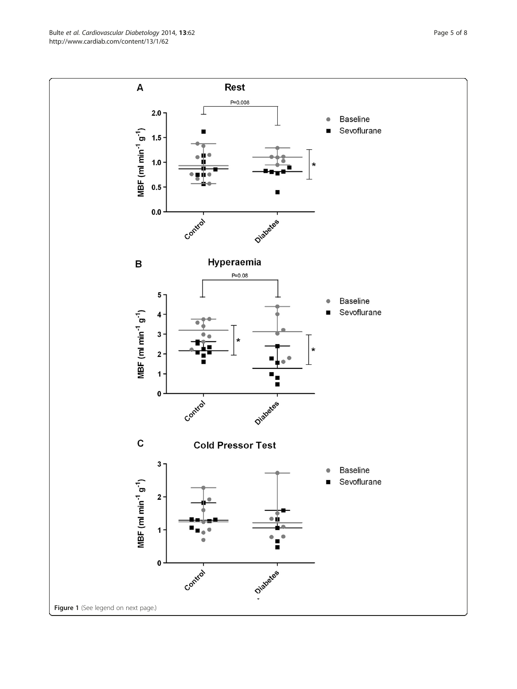Bulte et al. Cardiovascular Diabetology 2014, 13:62 et al. et al. Cardiovascular Diabetology 2014, 13:62 http://www.cardiab.com/content/13/1/62

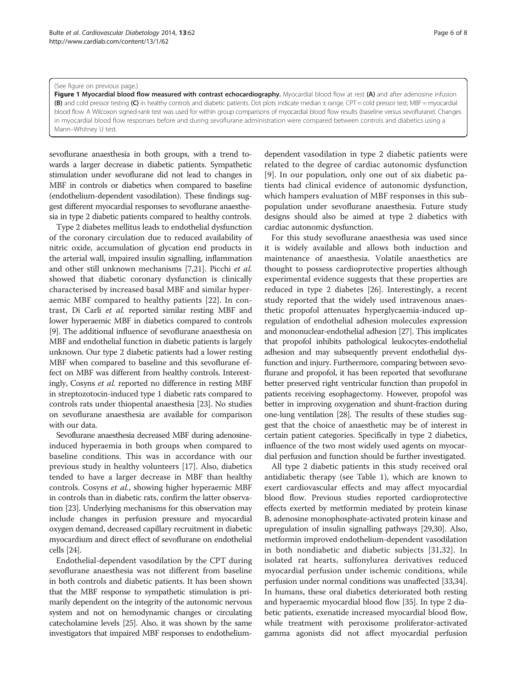#### <span id="page-5-0"></span>(See figure on previous page.)

Figure 1 Myocardial blood flow measured with contrast echocardiography. Myocardial blood flow at rest (A) and after adenosine infusion (B) and cold pressor testing (C) in healthy controls and diabetic patients. Dot plots indicate median  $\pm$  range. CPT = cold pressor test; MBF = myocardial blood flow. A Wilcoxon signed-rank test was used for within group comparisons of myocardial blood flow results (baseline versus sevoflurane). Changes in myocardial blood flow responses before and during sevoflurane administration were compared between controls and diabetics using a Mann–Whitney U test.

sevoflurane anaesthesia in both groups, with a trend towards a larger decrease in diabetic patients. Sympathetic stimulation under sevoflurane did not lead to changes in MBF in controls or diabetics when compared to baseline (endothelium-dependent vasodilation). These findings suggest different myocardial responses to sevoflurane anaesthesia in type 2 diabetic patients compared to healthy controls.

Type 2 diabetes mellitus leads to endothelial dysfunction of the coronary circulation due to reduced availability of nitric oxide, accumulation of glycation end products in the arterial wall, impaired insulin signalling, inflammation and other still unknown mechanisms [\[7](#page-6-0)[,21\]](#page-7-0). Picchi et al. showed that diabetic coronary dysfunction is clinically characterised by increased basal MBF and similar hyperaemic MBF compared to healthy patients [[22\]](#page-7-0). In contrast, Di Carli et al. reported similar resting MBF and lower hyperaemic MBF in diabetics compared to controls [[9\]](#page-6-0). The additional influence of sevoflurane anaesthesia on MBF and endothelial function in diabetic patients is largely unknown. Our type 2 diabetic patients had a lower resting MBF when compared to baseline and this sevoflurane effect on MBF was different from healthy controls. Interestingly, Cosyns et al. reported no difference in resting MBF in streptozotocin-induced type 1 diabetic rats compared to controls rats under thiopental anaesthesia [\[23\]](#page-7-0). No studies on sevoflurane anaesthesia are available for comparison with our data.

Sevoflurane anaesthesia decreased MBF during adenosineinduced hyperaemia in both groups when compared to baseline conditions. This was in accordance with our previous study in healthy volunteers [[17\]](#page-7-0). Also, diabetics tended to have a larger decrease in MBF than healthy controls. Cosyns et al., showing higher hyperaemic MBF in controls than in diabetic rats, confirm the latter observation [\[23\]](#page-7-0). Underlying mechanisms for this observation may include changes in perfusion pressure and myocardial oxygen demand, decreased capillary recruitment in diabetic myocardium and direct effect of sevoflurane on endothelial cells [\[24\]](#page-7-0).

Endothelial-dependent vasodilation by the CPT during sevoflurane anaesthesia was not different from baseline in both controls and diabetic patients. It has been shown that the MBF response to sympathetic stimulation is primarily dependent on the integrity of the autonomic nervous system and not on hemodynamic changes or circulating catecholamine levels [\[25\]](#page-7-0). Also, it was shown by the same investigators that impaired MBF responses to endotheliumdependent vasodilation in type 2 diabetic patients were related to the degree of cardiac autonomic dysfunction [[9](#page-6-0)]. In our population, only one out of six diabetic patients had clinical evidence of autonomic dysfunction, which hampers evaluation of MBF responses in this subpopulation under sevoflurane anaesthesia. Future study designs should also be aimed at type 2 diabetics with cardiac autonomic dysfunction.

For this study sevoflurane anaesthesia was used since it is widely available and allows both induction and maintenance of anaesthesia. Volatile anaesthetics are thought to possess cardioprotective properties although experimental evidence suggests that these properties are reduced in type 2 diabetes [[26](#page-7-0)]. Interestingly, a recent study reported that the widely used intravenous anaesthetic propofol attenuates hyperglycaemia-induced upregulation of endothelial adhesion molecules expression and mononuclear-endothelial adhesion [\[27\]](#page-7-0). This implicates that propofol inhibits pathological leukocytes-endothelial adhesion and may subsequently prevent endothelial dysfunction and injury. Furthermore, comparing between sevoflurane and propofol, it has been reported that sevoflurane better preserved right ventricular function than propofol in patients receiving esophagectomy. However, propofol was better in improving oxygenation and shunt-fraction during one-lung ventilation [[28](#page-7-0)]. The results of these studies suggest that the choice of anaesthetic may be of interest in certain patient categories. Specifically in type 2 diabetics, influence of the two most widely used agents on myocardial perfusion and function should be further investigated.

All type 2 diabetic patients in this study received oral antidiabetic therapy (see Table [1\)](#page-3-0), which are known to exert cardiovascular effects and may affect myocardial blood flow. Previous studies reported cardioprotective effects exerted by metformin mediated by protein kinase B, adenosine monophosphate-activated protein kinase and upregulation of insulin signalling pathways [[29,30](#page-7-0)]. Also, metformin improved endothelium-dependent vasodilation in both nondiabetic and diabetic subjects [[31,32](#page-7-0)]. In isolated rat hearts, sulfonylurea derivatives reduced myocardial perfusion under ischemic conditions, while perfusion under normal conditions was unaffected [\[33,34](#page-7-0)]. In humans, these oral diabetics deteriorated both resting and hyperaemic myocardial blood flow [[35](#page-7-0)]. In type 2 diabetic patients, exenatide increased myocardial blood flow, while treatment with peroxisome proliferator-activated gamma agonists did not affect myocardial perfusion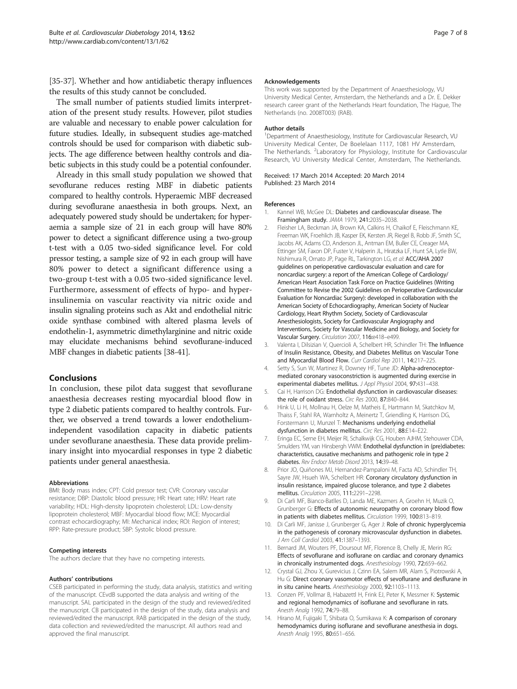<span id="page-6-0"></span>[[35](#page-7-0)-[37\]](#page-7-0). Whether and how antidiabetic therapy influences the results of this study cannot be concluded.

The small number of patients studied limits interpretation of the present study results. However, pilot studies are valuable and necessary to enable power calculation for future studies. Ideally, in subsequent studies age-matched controls should be used for comparison with diabetic subjects. The age difference between healthy controls and diabetic subjects in this study could be a potential confounder.

Already in this small study population we showed that sevoflurane reduces resting MBF in diabetic patients compared to healthy controls. Hyperaemic MBF decreased during sevoflurane anaesthesia in both groups. Next, an adequately powered study should be undertaken; for hyperaemia a sample size of 21 in each group will have 80% power to detect a significant difference using a two-group t-test with a 0.05 two-sided significance level. For cold pressor testing, a sample size of 92 in each group will have 80% power to detect a significant difference using a two-group t-test with a 0.05 two-sided significance level. Furthermore, assessment of effects of hypo- and hyperinsulinemia on vascular reactivity via nitric oxide and insulin signaling proteins such as Akt and endothelial nitric oxide synthase combined with altered plasma levels of endothelin-1, asymmetric dimethylarginine and nitric oxide may elucidate mechanisms behind sevoflurane-induced MBF changes in diabetic patients [[38](#page-7-0)-[41\]](#page-7-0).

# Conclusions

In conclusion, these pilot data suggest that sevoflurane anaesthesia decreases resting myocardial blood flow in type 2 diabetic patients compared to healthy controls. Further, we observed a trend towards a lower endotheliumindependent vasodilation capacity in diabetic patients under sevoflurane anaesthesia. These data provide preliminary insight into myocardial responses in type 2 diabetic patients under general anaesthesia.

#### Abbreviations

BMI: Body mass index; CPT: Cold pressor test; CVR: Coronary vascular resistance; DBP: Diastolic blood pressure; HR: Heart rate; HRV: Heart rate variability; HDL: High-density lipoprotein cholesterol; LDL: Low-density lipoprotein cholesterol; MBF: Myocardial blood flow; MCE: Myocardial contrast echocardiography; MI: Mechanical index; ROI: Region of interest; RPP: Rate-pressure product; SBP: Systolic blood pressure.

#### Competing interests

The authors declare that they have no competing interests.

#### Authors' contributions

CSEB participated in performing the study, data analysis, statistics and writing of the manuscript. CEvdB supported the data analysis and writing of the manuscript. SAL participated in the design of the study and reviewed/edited the manuscript. CB participated in the design of the study, data analysis and reviewed/edited the manuscript. RAB participated in the design of the study, data collection and reviewed/edited the manuscript. All authors read and approved the final manuscript.

#### Acknowledgements

This work was supported by the Department of Anaesthesiology, VU University Medical Center, Amsterdam, the Netherlands and a Dr. E. Dekker research career grant of the Netherlands Heart foundation, The Hague, The Netherlands (no. 2008T003) (RAB).

#### Author details

<sup>1</sup>Department of Anaesthesiology, Institute for Cardiovascular Research, VU University Medical Center, De Boelelaan 1117, 1081 HV Amsterdam, The Netherlands. <sup>2</sup>Laboratory for Physiology, Institute for Cardiovascular Research, VU University Medical Center, Amsterdam, The Netherlands.

Received: 17 March 2014 Accepted: 20 March 2014 Published: 23 March 2014

#### References

- 1. Kannel WB, McGee DL: Diabetes and cardiovascular disease. The Framingham study. JAMA 1979, 241:2035–2038.
- 2. Fleisher LA, Beckman JA, Brown KA, Calkins H, Chaikof E, Fleischmann KE, Freeman WK, Froehlich JB, Kasper EK, Kersten JR, Riegel B, Robb JF, Smith SC, Jacobs AK, Adams CD, Anderson JL, Antman EM, Buller CE, Creager MA, Ettinger SM, Faxon DP, Fuster V, Halperin JL, Hiratzka LF, Hunt SA, Lytle BW, Nishimura R, Ornato JP, Page RL, Tarkington LG, et al: ACC/AHA 2007 guidelines on perioperative cardiovascular evaluation and care for noncardiac surgery: a report of the American College of Cardiology/ American Heart Association Task Force on Practice Guidelines (Writing Committee to Revise the 2002 Guidelines on Perioperative Cardiovascular Evaluation for Noncardiac Surgery): developed in collaboration with the American Society of Echocardiography, American Society of Nuclear Cardiology, Heart Rhythm Society, Society of Cardiovascular Anesthesiologists, Society for Cardiovascular Angiography and Interventions, Society for Vascular Medicine and Biology, and Society for Vascular Surgery. Circulation 2007, 116:e418–e499.
- 3. Valenta I, Dilsizian V, Quercioli A, Schelbert HR, Schindler TH: The Influence of Insulin Resistance, Obesity, and Diabetes Mellitus on Vascular Tone and Myocardial Blood Flow. Curr Cardiol Rep 2011, 14:217–225.
- 4. Setty S, Sun W, Martinez R, Downey HF, Tune JD: Alpha-adrenoceptormediated coronary vasoconstriction is augmented during exercise in experimental diabetes mellitus. J Appl Physiol 2004, 97:431–438.
- 5. Cai H, Harrison DG: Endothelial dysfunction in cardiovascular diseases: the role of oxidant stress. Circ Res 2000, 87:840–844.
- 6. Hink U, Li H, Mollnau H, Oelze M, Matheis E, Hartmann M, Skatchkov M, Thaiss F, Stahl RA, Warnholtz A, Meinertz T, Griendling K, Harrison DG, Forstermann U, Munzel T: Mechanisms underlying endothelial dysfunction in diabetes mellitus. Circ Res 2001, 88:E14–E22.
- 7. Eringa EC, Serne EH, Meijer RI, Schalkwijk CG, Houben AJHM, Stehouwer CDA, Smulders YM, van Hinsbergh VWM: Endothelial dysfunction in (pre)diabetes: characteristics, causative mechanisms and pathogenic role in type 2 diabetes. Rev Endocr Metab Disord 2013, 14:39–48.
- 8. Prior JO, Quiñones MJ, Hernandez-Pampaloni M, Facta AD, Schindler TH, Sayre JW, Hsueh WA, Schelbert HR: Coronary circulatory dysfunction in insulin resistance, impaired glucose tolerance, and type 2 diabetes mellitus. Circulation 2005, 111:2291–2298.
- 9. Di Carli MF, Bianco-Batlles D, Landa ME, Kazmers A, Groehn H, Muzik O, Grunberger G: Effects of autonomic neuropathy on coronary blood flow in patients with diabetes mellitus. Circulation 1999, 100:813–819.
- 10. Di Carli MF, Janisse J, Grunberger G, Ager J: Role of chronic hyperglycemia in the pathogenesis of coronary microvascular dysfunction in diabetes. J Am Coll Cardiol 2003, 41:1387–1393.
- 11. Bernard JM, Wouters PF, Doursout MF, Florence B, Chelly JE, Merin RG: Effects of sevoflurane and isoflurane on cardiac and coronary dynamics in chronically instrumented dogs. Anesthesiology 1990, 72:659–662.
- 12. Crystal GJ, Zhou X, Gurevicius J, Czinn EA, Salem MR, Alam S, Piotrowski A, Hu G: Direct coronary vasomotor effects of sevoflurane and desflurane in in situ canine hearts. Anesthesiology 2000, 92:1103–1113.
- 13. Conzen PF, Vollmar B, Habazettl H, Frink EJ, Peter K, Messmer K: Systemic and regional hemodynamics of isoflurane and sevoflurane in rats. Anesth Analg 1992, 74:79–88.
- 14. Hirano M, Fujigaki T, Shibata O, Sumikawa K: A comparison of coronary hemodynamics during isoflurane and sevoflurane anesthesia in dogs. Anesth Analg 1995, 80:651–656.